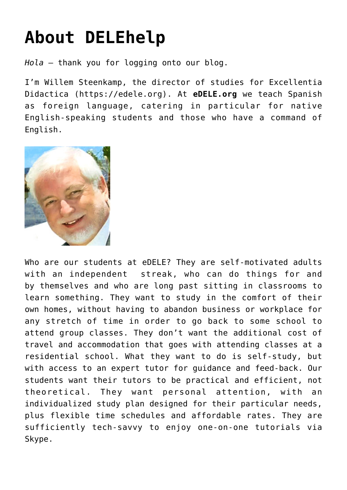## **[About DELEhelp](https://delehelp.org/about-delehelp/)**

*Hola* – thank you for logging onto our blog.

I'm Willem Steenkamp, the director of studies for Excellentia Didactica (<https://edele.org>). At **eDELE.org** we teach Spanish as foreign language, catering in particular for native English-speaking students and those who have a command of English.



Who are our students at eDELE? They are self-motivated adults with an independent streak, who can do things for and by themselves and who are long past sitting in classrooms to learn something. They want to study in the comfort of their own homes, without having to abandon business or workplace for any stretch of time in order to go back to some school to attend group classes. They don't want the additional cost of travel and accommodation that goes with attending classes at a residential school. What they want to do is self-study, but with access to an expert tutor for guidance and feed-back. Our students want their tutors to be practical and efficient, not theoretical. They want personal attention, with an individualized study plan designed for their particular needs, plus flexible time schedules and affordable rates. They are sufficiently tech-savvy to enjoy one-on-one tutorials via Skype.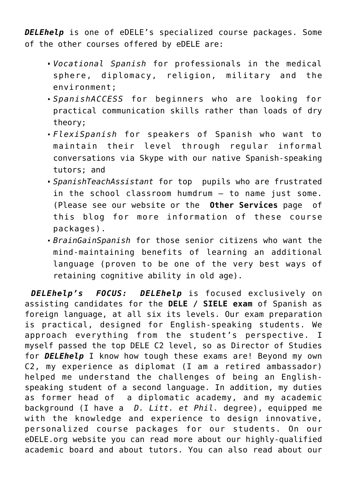*[DELEhelp](https://www.edele.org/delehelp.html)* is one of eDELE's specialized course packages. Some of the other courses offered by eDELE are:

- *Vocational Spanish* for professionals in the medical sphere, diplomacy, religion, military and the environment;
- *SpanishACCESS* for beginners who are looking for practical communication skills rather than loads of dry theory;
- *FlexiSpanish* for speakers of Spanish who want to maintain their level through regular informal conversations via Skype with our native Spanish-speaking tutors; and
- *SpanishTeachAssistant* for top pupils who are frustrated in the school classroom humdrum – to name just some. (Please see our [website](https://edele.org) or the **Other Services** page of this blog for more information of these course packages).
- *BrainGainSpanish* for those senior citizens who want the mind-maintaining benefits of learning an additional language (proven to be one of the very best ways of retaining cognitive ability in old age).

*DELEhelp's FOCUS: [DELEhelp](https://www.edele.org/delehelp.html)* is focused exclusively on assisting candidates for the **DELE / SIELE exam** of Spanish as foreign language, at all six its levels. Our exam preparation is practical, designed for English-speaking students. We approach everything from the student's perspective. I myself passed the top DELE C2 level, so as Director of Studies for *DELEhelp* I know how tough these exams are! Beyond my own C2, my experience as diplomat (I am a retired ambassador) helped me understand the challenges of being an Englishspeaking student of a second language. In addition, my duties as former head of a diplomatic academy, and my academic background (I have a *D. Litt. et Phil.* degree), equipped me with the knowledge and experience to design innovative, personalized course packages for our students. On our [eDELE.org w](https://edele.org)ebsite you can read more about our highly-qualified academic board and about tutors. You can also read about our